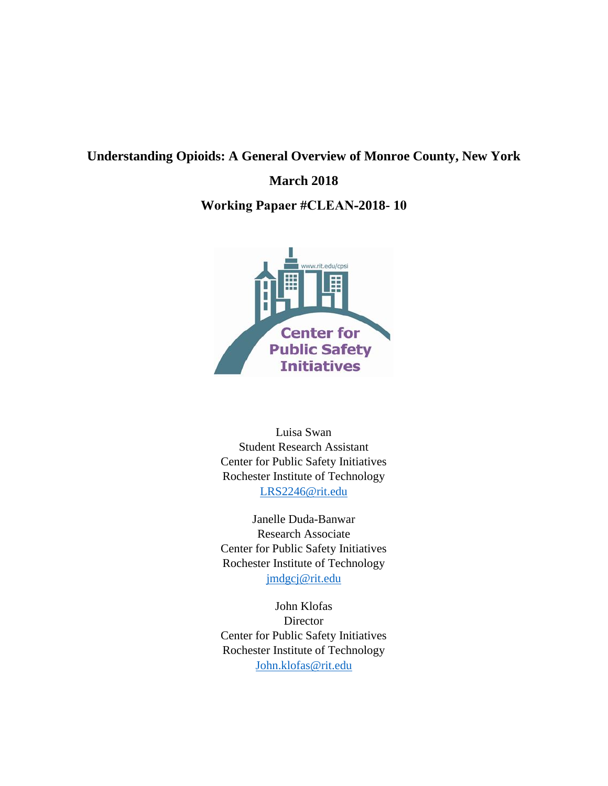# **Understanding Opioids: A General Overview of Monroe County, New York**

## **March 2018**

**Working Papaer #CLEAN-2018- 10**



Luisa Swan Student Research Assistant Center for Public Safety Initiatives Rochester Institute of Technology [LRS2246@rit.edu](mailto:LRS2246@rit.edu)

Janelle Duda-Banwar Research Associate Center for Public Safety Initiatives Rochester Institute of Technology [jmdgcj@rit.edu](mailto:jmdgcj@rit.edu)

John Klofas **Director** Center for Public Safety Initiatives Rochester Institute of Technology [John.klofas@rit.edu](mailto:John.klofas@rit.edu)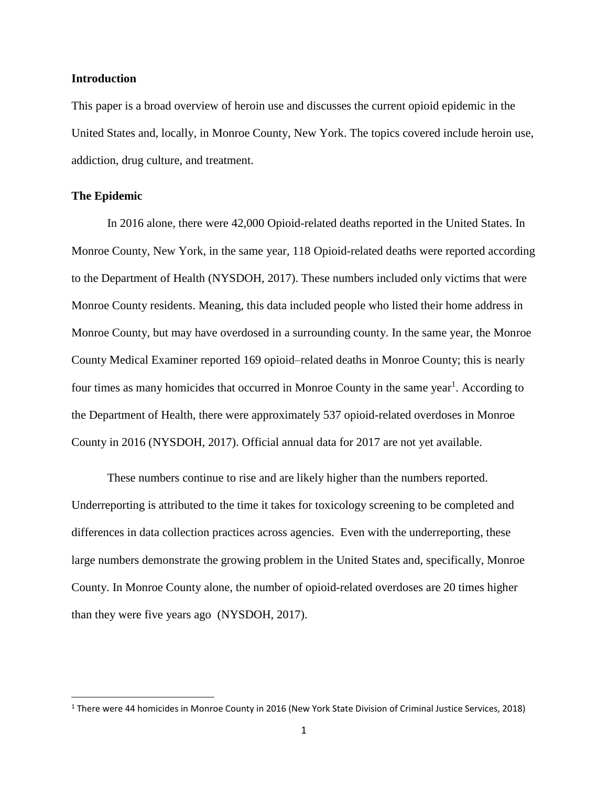#### **Introduction**

This paper is a broad overview of heroin use and discusses the current opioid epidemic in the United States and, locally, in Monroe County, New York. The topics covered include heroin use, addiction, drug culture, and treatment.

## **The Epidemic**

 $\overline{a}$ 

In 2016 alone, there were 42,000 Opioid-related deaths reported in the United States. In Monroe County, New York, in the same year, 118 Opioid-related deaths were reported according to the Department of Health (NYSDOH, 2017). These numbers included only victims that were Monroe County residents. Meaning, this data included people who listed their home address in Monroe County, but may have overdosed in a surrounding county. In the same year, the Monroe County Medical Examiner reported 169 opioid–related deaths in Monroe County; this is nearly four times as many homicides that occurred in Monroe County in the same year<sup>1</sup>. According to the Department of Health, there were approximately 537 opioid-related overdoses in Monroe County in 2016 (NYSDOH, 2017). Official annual data for 2017 are not yet available.

These numbers continue to rise and are likely higher than the numbers reported. Underreporting is attributed to the time it takes for toxicology screening to be completed and differences in data collection practices across agencies. Even with the underreporting, these large numbers demonstrate the growing problem in the United States and, specifically, Monroe County. In Monroe County alone, the number of opioid-related overdoses are 20 times higher than they were five years ago (NYSDOH, 2017).

<sup>1</sup> There were 44 homicides in Monroe County in 2016 (New York State Division of Criminal Justice Services, 2018)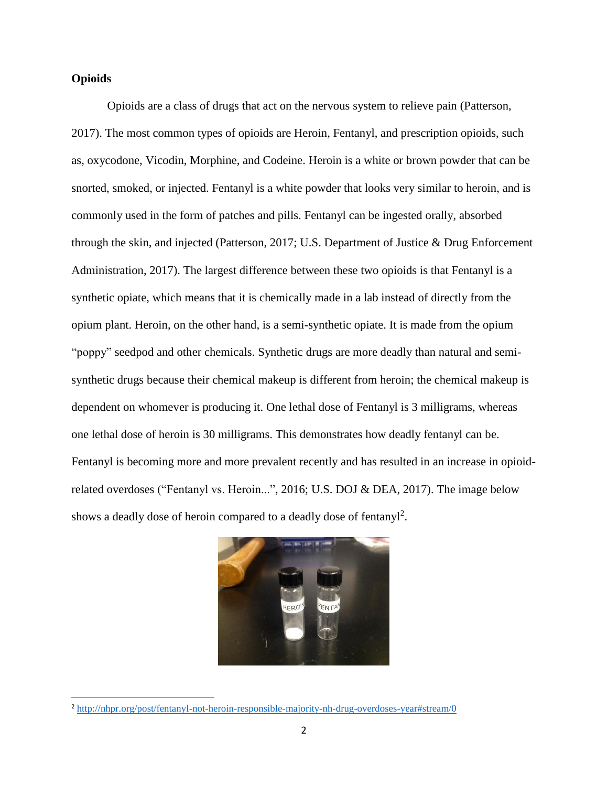## **Opioids**

 $\overline{a}$ 

Opioids are a class of drugs that act on the nervous system to relieve pain (Patterson, 2017). The most common types of opioids are Heroin, Fentanyl, and prescription opioids, such as, oxycodone, Vicodin, Morphine, and Codeine. Heroin is a white or brown powder that can be snorted, smoked, or injected. Fentanyl is a white powder that looks very similar to heroin, and is commonly used in the form of patches and pills. Fentanyl can be ingested orally, absorbed through the skin, and injected (Patterson, 2017; U.S. Department of Justice & Drug Enforcement Administration, 2017). The largest difference between these two opioids is that Fentanyl is a synthetic opiate, which means that it is chemically made in a lab instead of directly from the opium plant. Heroin, on the other hand, is a semi-synthetic opiate. It is made from the opium "poppy" seedpod and other chemicals. Synthetic drugs are more deadly than natural and semisynthetic drugs because their chemical makeup is different from heroin; the chemical makeup is dependent on whomever is producing it. One lethal dose of Fentanyl is 3 milligrams, whereas one lethal dose of heroin is 30 milligrams. This demonstrates how deadly fentanyl can be. Fentanyl is becoming more and more prevalent recently and has resulted in an increase in opioidrelated overdoses ("Fentanyl vs. Heroin...", 2016; U.S. DOJ & DEA, 2017). The image below shows a deadly dose of heroin compared to a deadly dose of fentanyl<sup>2</sup>.



<sup>2</sup> <http://nhpr.org/post/fentanyl-not-heroin-responsible-majority-nh-drug-overdoses-year#stream/0>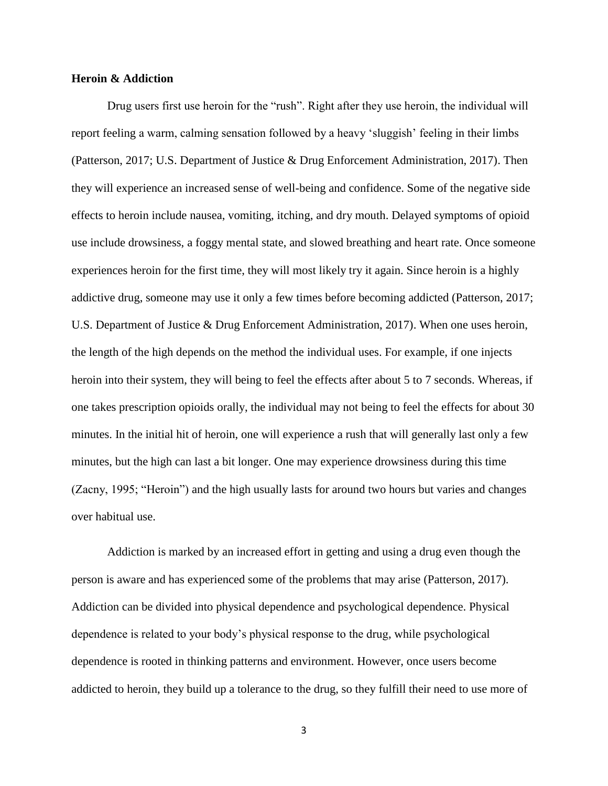## **Heroin & Addiction**

Drug users first use heroin for the "rush". Right after they use heroin, the individual will report feeling a warm, calming sensation followed by a heavy 'sluggish' feeling in their limbs (Patterson, 2017; U.S. Department of Justice & Drug Enforcement Administration, 2017). Then they will experience an increased sense of well-being and confidence. Some of the negative side effects to heroin include nausea, vomiting, itching, and dry mouth. Delayed symptoms of opioid use include drowsiness, a foggy mental state, and slowed breathing and heart rate. Once someone experiences heroin for the first time, they will most likely try it again. Since heroin is a highly addictive drug, someone may use it only a few times before becoming addicted (Patterson, 2017; U.S. Department of Justice & Drug Enforcement Administration, 2017). When one uses heroin, the length of the high depends on the method the individual uses. For example, if one injects heroin into their system, they will being to feel the effects after about 5 to 7 seconds. Whereas, if one takes prescription opioids orally, the individual may not being to feel the effects for about 30 minutes. In the initial hit of heroin, one will experience a rush that will generally last only a few minutes, but the high can last a bit longer. One may experience drowsiness during this time (Zacny, 1995; "Heroin") and the high usually lasts for around two hours but varies and changes over habitual use.

Addiction is marked by an increased effort in getting and using a drug even though the person is aware and has experienced some of the problems that may arise (Patterson, 2017). Addiction can be divided into physical dependence and psychological dependence. Physical dependence is related to your body's physical response to the drug, while psychological dependence is rooted in thinking patterns and environment. However, once users become addicted to heroin, they build up a tolerance to the drug, so they fulfill their need to use more of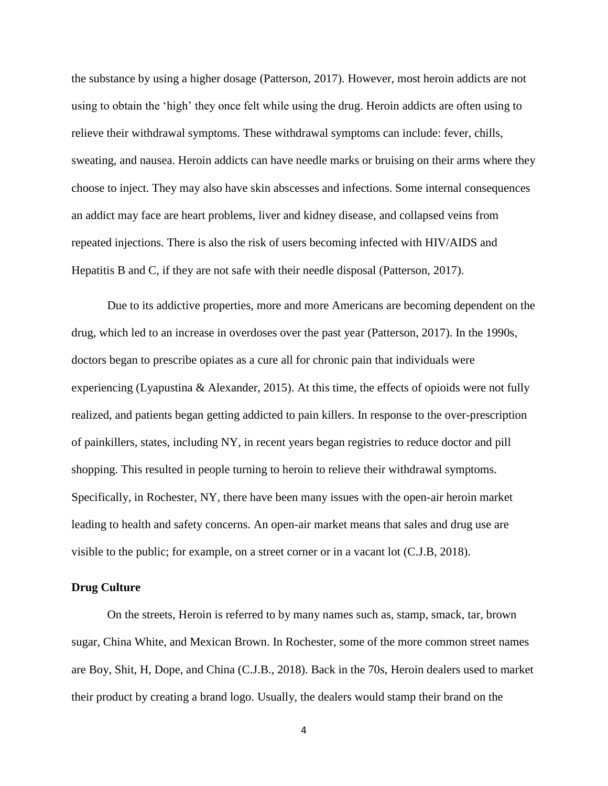the substance by using a higher dosage (Patterson, 2017). However, most heroin addicts are not using to obtain the 'high' they once felt while using the drug. Heroin addicts are often using to relieve their withdrawal symptoms. These withdrawal symptoms can include: fever, chills, sweating, and nausea. Heroin addicts can have needle marks or bruising on their arms where they choose to inject. They may also have skin abscesses and infections. Some internal consequences an addict may face are heart problems, liver and kidney disease, and collapsed veins from repeated injections. There is also the risk of users becoming infected with HIV/AIDS and Hepatitis B and C, if they are not safe with their needle disposal (Patterson, 2017).

Due to its addictive properties, more and more Americans are becoming dependent on the drug, which led to an increase in overdoses over the past year (Patterson, 2017). In the 1990s, doctors began to prescribe opiates as a cure all for chronic pain that individuals were experiencing (Lyapustina & Alexander, 2015). At this time, the effects of opioids were not fully realized, and patients began getting addicted to pain killers. In response to the over-prescription of painkillers, states, including NY, in recent years began registries to reduce doctor and pill shopping. This resulted in people turning to heroin to relieve their withdrawal symptoms. Specifically, in Rochester, NY, there have been many issues with the open-air heroin market leading to health and safety concerns. An open-air market means that sales and drug use are visible to the public; for example, on a street corner or in a vacant lot (C.J.B, 2018).

## **Drug Culture**

On the streets, Heroin is referred to by many names such as, stamp, smack, tar, brown sugar, China White, and Mexican Brown. In Rochester, some of the more common street names are Boy, Shit, H, Dope, and China (C.J.B., 2018). Back in the 70s, Heroin dealers used to market their product by creating a brand logo. Usually, the dealers would stamp their brand on the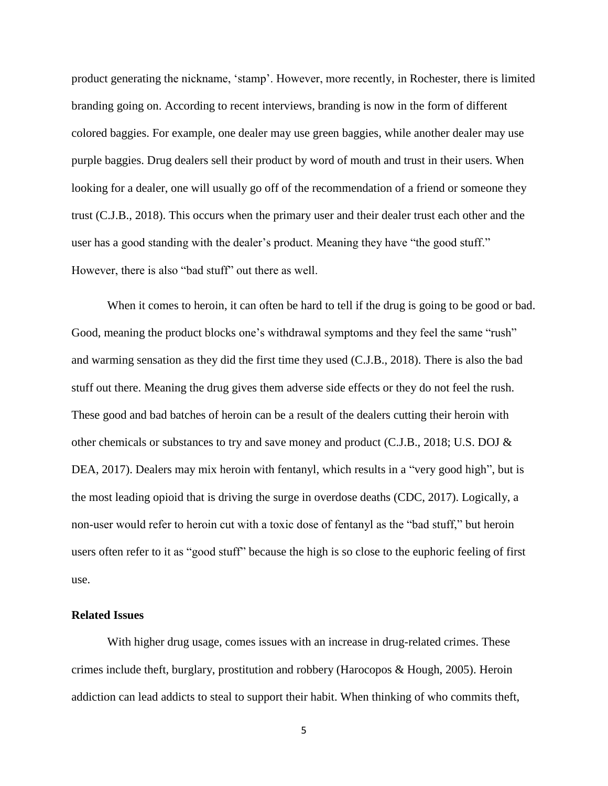product generating the nickname, 'stamp'. However, more recently, in Rochester, there is limited branding going on. According to recent interviews, branding is now in the form of different colored baggies. For example, one dealer may use green baggies, while another dealer may use purple baggies. Drug dealers sell their product by word of mouth and trust in their users. When looking for a dealer, one will usually go off of the recommendation of a friend or someone they trust (C.J.B., 2018). This occurs when the primary user and their dealer trust each other and the user has a good standing with the dealer's product. Meaning they have "the good stuff." However, there is also "bad stuff" out there as well.

When it comes to heroin, it can often be hard to tell if the drug is going to be good or bad. Good, meaning the product blocks one's withdrawal symptoms and they feel the same "rush" and warming sensation as they did the first time they used (C.J.B., 2018). There is also the bad stuff out there. Meaning the drug gives them adverse side effects or they do not feel the rush. These good and bad batches of heroin can be a result of the dealers cutting their heroin with other chemicals or substances to try and save money and product (C.J.B., 2018; U.S. DOJ & DEA, 2017). Dealers may mix heroin with fentanyl, which results in a "very good high", but is the most leading opioid that is driving the surge in overdose deaths (CDC, 2017). Logically, a non-user would refer to heroin cut with a toxic dose of fentanyl as the "bad stuff," but heroin users often refer to it as "good stuff" because the high is so close to the euphoric feeling of first use.

## **Related Issues**

With higher drug usage, comes issues with an increase in drug-related crimes. These crimes include theft, burglary, prostitution and robbery (Harocopos & Hough, 2005). Heroin addiction can lead addicts to steal to support their habit. When thinking of who commits theft,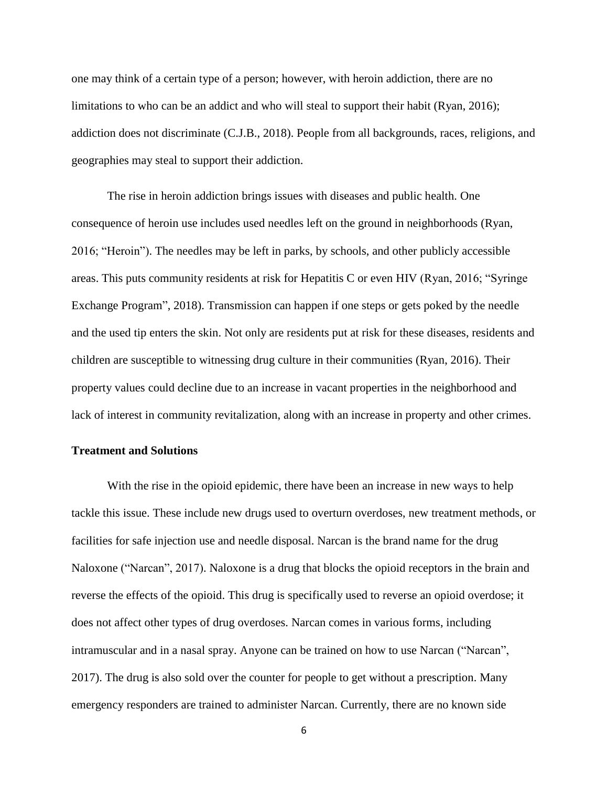one may think of a certain type of a person; however, with heroin addiction, there are no limitations to who can be an addict and who will steal to support their habit (Ryan, 2016); addiction does not discriminate (C.J.B., 2018). People from all backgrounds, races, religions, and geographies may steal to support their addiction.

The rise in heroin addiction brings issues with diseases and public health. One consequence of heroin use includes used needles left on the ground in neighborhoods (Ryan, 2016; "Heroin"). The needles may be left in parks, by schools, and other publicly accessible areas. This puts community residents at risk for Hepatitis C or even HIV (Ryan, 2016; "Syringe Exchange Program", 2018). Transmission can happen if one steps or gets poked by the needle and the used tip enters the skin. Not only are residents put at risk for these diseases, residents and children are susceptible to witnessing drug culture in their communities (Ryan, 2016). Their property values could decline due to an increase in vacant properties in the neighborhood and lack of interest in community revitalization, along with an increase in property and other crimes.

### **Treatment and Solutions**

With the rise in the opioid epidemic, there have been an increase in new ways to help tackle this issue. These include new drugs used to overturn overdoses, new treatment methods, or facilities for safe injection use and needle disposal. Narcan is the brand name for the drug Naloxone ("Narcan", 2017). Naloxone is a drug that blocks the opioid receptors in the brain and reverse the effects of the opioid. This drug is specifically used to reverse an opioid overdose; it does not affect other types of drug overdoses. Narcan comes in various forms, including intramuscular and in a nasal spray. Anyone can be trained on how to use Narcan ("Narcan", 2017). The drug is also sold over the counter for people to get without a prescription. Many emergency responders are trained to administer Narcan. Currently, there are no known side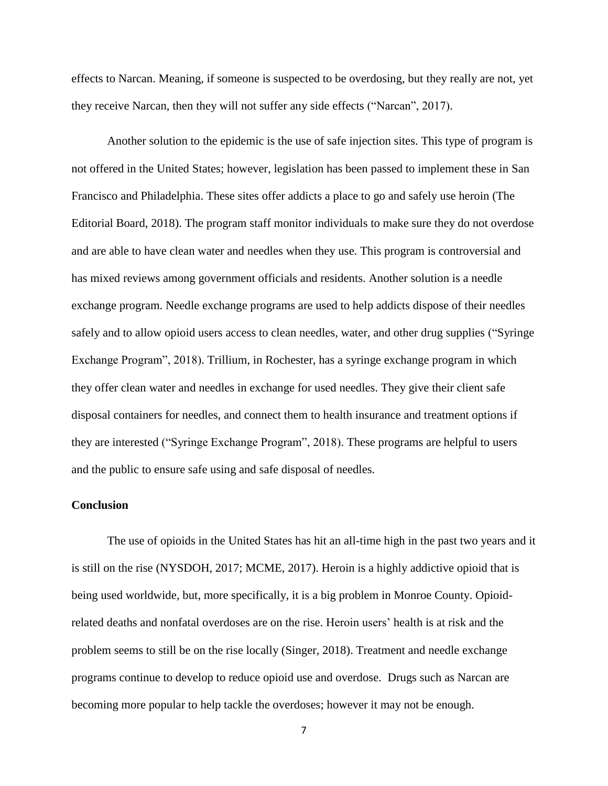effects to Narcan. Meaning, if someone is suspected to be overdosing, but they really are not, yet they receive Narcan, then they will not suffer any side effects ("Narcan", 2017).

Another solution to the epidemic is the use of safe injection sites. This type of program is not offered in the United States; however, legislation has been passed to implement these in San Francisco and Philadelphia. These sites offer addicts a place to go and safely use heroin (The Editorial Board, 2018). The program staff monitor individuals to make sure they do not overdose and are able to have clean water and needles when they use. This program is controversial and has mixed reviews among government officials and residents. Another solution is a needle exchange program. Needle exchange programs are used to help addicts dispose of their needles safely and to allow opioid users access to clean needles, water, and other drug supplies ("Syringe Exchange Program", 2018). Trillium, in Rochester, has a syringe exchange program in which they offer clean water and needles in exchange for used needles. They give their client safe disposal containers for needles, and connect them to health insurance and treatment options if they are interested ("Syringe Exchange Program", 2018). These programs are helpful to users and the public to ensure safe using and safe disposal of needles.

## **Conclusion**

The use of opioids in the United States has hit an all-time high in the past two years and it is still on the rise (NYSDOH, 2017; MCME, 2017). Heroin is a highly addictive opioid that is being used worldwide, but, more specifically, it is a big problem in Monroe County. Opioidrelated deaths and nonfatal overdoses are on the rise. Heroin users' health is at risk and the problem seems to still be on the rise locally (Singer, 2018). Treatment and needle exchange programs continue to develop to reduce opioid use and overdose. Drugs such as Narcan are becoming more popular to help tackle the overdoses; however it may not be enough.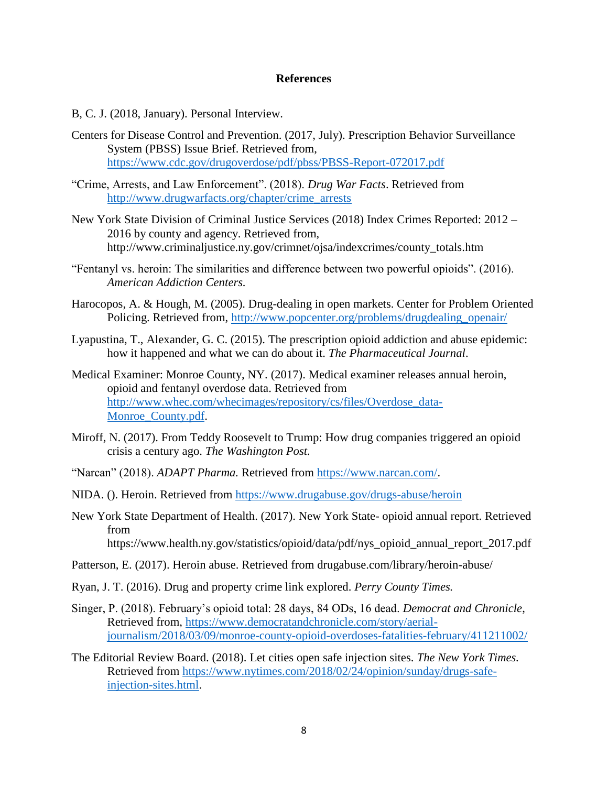## **References**

- B, C. J. (2018, January). Personal Interview.
- Centers for Disease Control and Prevention. (2017, July). Prescription Behavior Surveillance System (PBSS) Issue Brief. Retrieved from, <https://www.cdc.gov/drugoverdose/pdf/pbss/PBSS-Report-072017.pdf>
- "Crime, Arrests, and Law Enforcement". (2018). *Drug War Facts*. Retrieved from [http://www.drugwarfacts.org/chapter/crime\\_arrests](http://www.drugwarfacts.org/chapter/crime_arrests)
- New York State Division of Criminal Justice Services (2018) Index Crimes Reported: 2012 2016 by county and agency. Retrieved from, http://www.criminaljustice.ny.gov/crimnet/ojsa/indexcrimes/county\_totals.htm
- "Fentanyl vs. heroin: The similarities and difference between two powerful opioids". (2016). *American Addiction Centers.*
- Harocopos, A. & Hough, M. (2005). Drug-dealing in open markets. Center for Problem Oriented Policing. Retrieved from, http://www.popcenter.org/problems/drugdealing\_openair/
- Lyapustina, T., Alexander, G. C. (2015). The prescription opioid addiction and abuse epidemic: how it happened and what we can do about it. *The Pharmaceutical Journal*.
- Medical Examiner: Monroe County, NY. (2017). Medical examiner releases annual heroin, opioid and fentanyl overdose data. Retrieved from [http://www.whec.com/whecimages/repository/cs/files/Overdose\\_data-](http://www.whec.com/whecimages/repository/cs/files/Overdose_data-Monroe_County.pdf)Monroe County.pdf.
- Miroff, N. (2017). From Teddy Roosevelt to Trump: How drug companies triggered an opioid crisis a century ago. *The Washington Post.*
- "Narcan" (2018). *ADAPT Pharma.* Retrieved from [https://www.narcan.com/.](https://www.narcan.com/)
- NIDA. (). Heroin. Retrieved from<https://www.drugabuse.gov/drugs-abuse/heroin>
- New York State Department of Health. (2017). New York State- opioid annual report. Retrieved from https://www.health.ny.gov/statistics/opioid/data/pdf/nys\_opioid\_annual\_report\_2017.pdf
- Patterson, E. (2017). Heroin abuse. Retrieved from drugabuse.com/library/heroin-abuse/
- Ryan, J. T. (2016). Drug and property crime link explored. *Perry County Times.*
- Singer, P. (2018). February's opioid total: 28 days, 84 ODs, 16 dead. *Democrat and Chronicle*, Retrieved from, [https://www.democratandchronicle.com/story/aerial](https://www.democratandchronicle.com/story/aerial-journalism/2018/03/09/monroe-county-opioid-overdoses-fatalities-february/411211002/)[journalism/2018/03/09/monroe-county-opioid-overdoses-fatalities-february/411211002/](https://www.democratandchronicle.com/story/aerial-journalism/2018/03/09/monroe-county-opioid-overdoses-fatalities-february/411211002/)
- The Editorial Review Board. (2018). Let cities open safe injection sites. *The New York Times.* Retrieved from [https://www.nytimes.com/2018/02/24/opinion/sunday/drugs-safe](https://www.nytimes.com/2018/02/24/opinion/sunday/drugs-safe-injection-sites.html)[injection-sites.html.](https://www.nytimes.com/2018/02/24/opinion/sunday/drugs-safe-injection-sites.html)